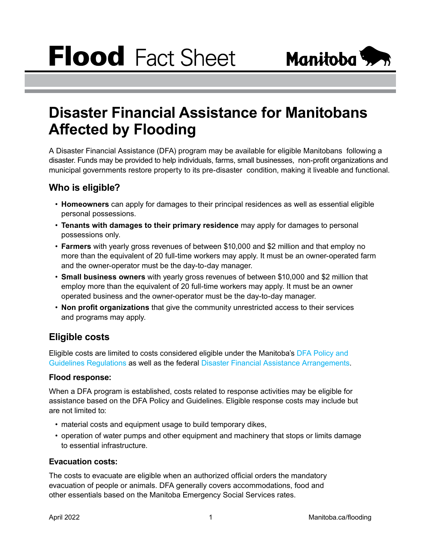

# **Disaster Financial Assistance for Manitobans Affected by Flooding**

A Disaster Financial Assistance (DFA) program may be available for eligible Manitobans following a disaster. Funds may be provided to help individuals, farms, small businesses, non-profit organizations and municipal governments restore property to its pre-disaster condition, making it liveable and functional.

# **Who is eligible?**

- **Homeowners** can apply for damages to their principal residences as well as essential eligible personal possessions.
- **Tenants with damages to their primary residence** may apply for damages to personal possessions only.
- **Farmers** with yearly gross revenues of between \$10,000 and \$2 million and that employ no more than the equivalent of 20 full-time workers may apply. It must be an owner-operated farm and the owner-operator must be the day-to-day manager.
- **Small business owners** with yearly gross revenues of between \$10,000 and \$2 million that employ more than the equivalent of 20 full-time workers may apply. It must be an owner operated business and the owner-operator must be the day-to-day manager.
- **Non profit organizations** that give the community unrestricted access to their services and programs may apply.

## **Eligible costs**

Eligible costs are limited to costs considered eligible under the Manitoba's [DFA Policy and](https://web2.gov.mb.ca/laws/regs/current/_pdf-regs.php?reg=178/99)  [Guidelines Regulations](https://web2.gov.mb.ca/laws/regs/current/_pdf-regs.php?reg=178/99) as well as the federal [Disaster Financial Assistance Arrangements.](https://www.publicsafety.gc.ca/cnt/mrgnc-mngmnt/rcvr-dsstrs/dsstr-fnncl-ssstnc-rrngmnts/index-en.aspx)

## **Flood response:**

When a DFA program is established, costs related to response activities may be eligible for assistance based on the DFA Policy and Guidelines. Eligible response costs may include but are not limited to:

- material costs and equipment usage to build temporary dikes,
- operation of water pumps and other equipment and machinery that stops or limits damage to essential infrastructure.

## **Evacuation costs:**

The costs to evacuate are eligible when an authorized official orders the mandatory evacuation of people or animals. DFA generally covers accommodations, food and other essentials based on the Manitoba Emergency Social Services rates.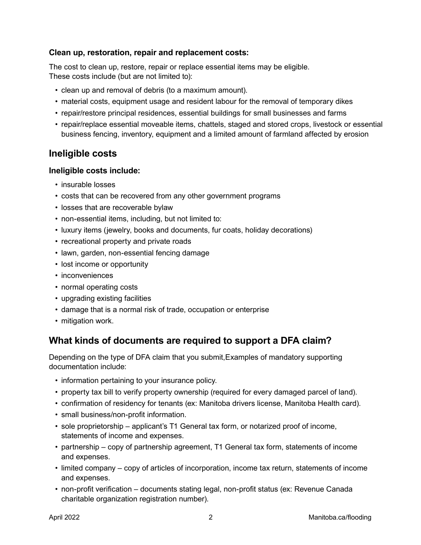### **Clean up, restoration, repair and replacement costs:**

The cost to clean up, restore, repair or replace essential items may be eligible. These costs include (but are not limited to):

- clean up and removal of debris (to a maximum amount).
- material costs, equipment usage and resident labour for the removal of temporary dikes
- repair/restore principal residences, essential buildings for small businesses and farms
- repair/replace essential moveable items, chattels, staged and stored crops, livestock or essential business fencing, inventory, equipment and a limited amount of farmland affected by erosion

## **Ineligible costs**

#### **Ineligible costs include:**

- insurable losses
- costs that can be recovered from any other government programs
- losses that are recoverable bylaw
- non-essential items, including, but not limited to:
- luxury items (jewelry, books and documents, fur coats, holiday decorations)
- recreational property and private roads
- lawn, garden, non-essential fencing damage
- lost income or opportunity
- inconveniences
- normal operating costs
- upgrading existing facilities
- damage that is a normal risk of trade, occupation or enterprise
- mitigation work.

## **What kinds of documents are required to support a DFA claim?**

Depending on the type of DFA claim that you submit,Examples of mandatory supporting documentation include:

- information pertaining to your insurance policy.
- property tax bill to verify property ownership (required for every damaged parcel of land).
- confirmation of residency for tenants (ex: Manitoba drivers license, Manitoba Health card).
- small business/non-profit information.
- sole proprietorship applicant's T1 General tax form, or notarized proof of income, statements of income and expenses.
- partnership copy of partnership agreement, T1 General tax form, statements of income and expenses.
- limited company copy of articles of incorporation, income tax return, statements of income and expenses.
- non-profit verification documents stating legal, non-profit status (ex: Revenue Canada charitable organization registration number).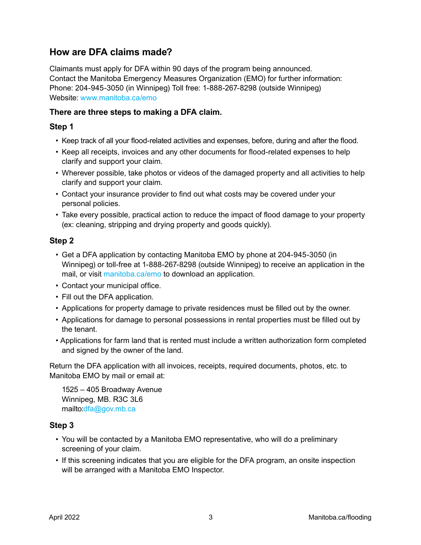## **How are DFA claims made?**

Claimants must apply for DFA within 90 days of the program being announced. Contact the Manitoba Emergency Measures Organization (EMO) for further information: Phone: 204-945-3050 (in Winnipeg) Toll free: 1-888-267-8298 (outside Winnipeg) Website: [www.manitoba.ca/emo](http://www.manitoba.ca/emo)

## **There are three steps to making a DFA claim.**

## **Step 1**

- Keep track of all your flood-related activities and expenses, before, during and after the flood.
- Keep all receipts, invoices and any other documents for flood-related expenses to help clarify and support your claim.
- Wherever possible, take photos or videos of the damaged property and all activities to help clarify and support your claim.
- Contact your insurance provider to find out what costs may be covered under your personal policies.
- Take every possible, practical action to reduce the impact of flood damage to your property (ex: cleaning, stripping and drying property and goods quickly).

## **Step 2**

- Get a DFA application by contacting Manitoba EMO by phone at 204-945-3050 (in Winnipeg) or toll-free at 1-888-267-8298 (outside Winnipeg) to receive an application in the mail, or visit [manitoba.ca/emo](http://manitoba.ca/emo) to download an application.
- Contact your municipal office.
- Fill out the DFA application.
- Applications for property damage to private residences must be filled out by the owner.
- Applications for damage to personal possessions in rental properties must be filled out by the tenant.
- Applications for farm land that is rented must include a written authorization form completed and signed by the owner of the land.

Return the DFA application with all invoices, receipts, required documents, photos, etc. to Manitoba EMO by mail or email at:

1525 – 405 Broadway Avenue Winnipeg, MB. R3C 3L6 mailto:[dfa@gov.mb.ca](mailto:dfa%40gov.mb.ca?subject=)

#### **Step 3**

- You will be contacted by a Manitoba EMO representative, who will do a preliminary screening of your claim.
- If this screening indicates that you are eligible for the DFA program, an onsite inspection will be arranged with a Manitoba EMO Inspector.